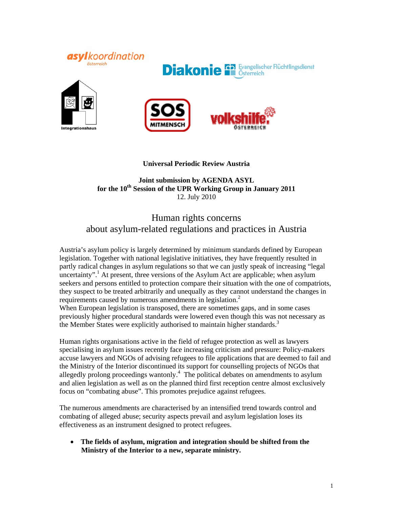







### **Universal Periodic Review Austria**

### **Joint submission by AGENDA ASYL for the 10th Session of the UPR Working Group in January 2011**  12. July 2010

# Human rights concerns about asylum-related regulations and practices in Austria

Austria's asylum policy is largely determined by minimum standards defined by European legislation. Together with national legislative initiatives, they have frequently resulted in partly radical changes in asylum regulations so that we can justly speak of increasing "legal uncertainty".<sup>1</sup> At present, three versions of the Asylum Act are applicable; when asylum seekers and persons entitled to protection compare their situation with the one of compatriots, they suspect to be treated arbitrarily and unequally as they cannot understand the changes in requirements caused by numerous amendments in legislation.<sup>2</sup>

When European legislation is transposed, there are sometimes gaps, and in some cases previously higher procedural standards were lowered even though this was not necessary as the Member States were explicitly authorised to maintain higher standards.<sup>3</sup>

Human rights organisations active in the field of refugee protection as well as lawyers specialising in asylum issues recently face increasing criticism and pressure: Policy-makers accuse lawyers and NGOs of advising refugees to file applications that are deemed to fail and the Ministry of the Interior discontinued its support for counselling projects of NGOs that allegedly prolong proceedings wantonly. $4$  The political debates on amendments to asylum and alien legislation as well as on the planned third first reception centre almost exclusively focus on "combating abuse". This promotes prejudice against refugees.

The numerous amendments are characterised by an intensified trend towards control and combating of alleged abuse; security aspects prevail and asylum legislation loses its effectiveness as an instrument designed to protect refugees.

• **The fields of asylum, migration and integration should be shifted from the Ministry of the Interior to a new, separate ministry.**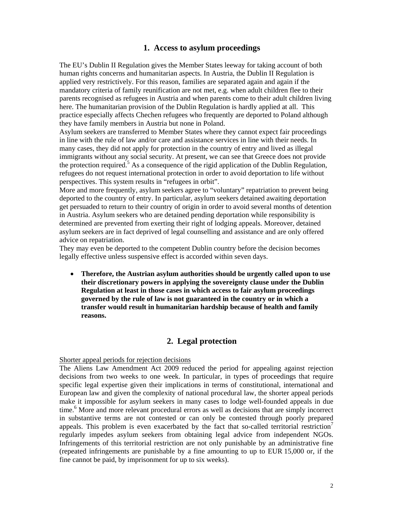## **1. Access to asylum proceedings**

The EU's Dublin II Regulation gives the Member States leeway for taking account of both human rights concerns and humanitarian aspects. In Austria, the Dublin II Regulation is applied very restrictively. For this reason, families are separated again and again if the mandatory criteria of family reunification are not met, e.g. when adult children flee to their parents recognised as refugees in Austria and when parents come to their adult children living here. The humanitarian provision of the Dublin Regulation is hardly applied at all. This practice especially affects Chechen refugees who frequently are deported to Poland although they have family members in Austria but none in Poland.

Asylum seekers are transferred to Member States where they cannot expect fair proceedings in line with the rule of law and/or care and assistance services in line with their needs. In many cases, they did not apply for protection in the country of entry and lived as illegal immigrants without any social security. At present, we can see that Greece does not provide the protection required.<sup>5</sup> As a consequence of the rigid application of the Dublin Regulation, refugees do not request international protection in order to avoid deportation to life without perspectives. This system results in "refugees in orbit".

More and more frequently, asylum seekers agree to "voluntary" repatriation to prevent being deported to the country of entry. In particular, asylum seekers detained awaiting deportation get persuaded to return to their country of origin in order to avoid several months of detention in Austria. Asylum seekers who are detained pending deportation while responsibility is determined are prevented from exerting their right of lodging appeals. Moreover, detained asylum seekers are in fact deprived of legal counselling and assistance and are only offered advice on repatriation.

They may even be deported to the competent Dublin country before the decision becomes legally effective unless suspensive effect is accorded within seven days.

• **Therefore, the Austrian asylum authorities should be urgently called upon to use their discretionary powers in applying the sovereignty clause under the Dublin Regulation at least in those cases in which access to fair asylum proceedings governed by the rule of law is not guaranteed in the country or in which a transfer would result in humanitarian hardship because of health and family reasons.** 

## **2. Legal protection**

#### Shorter appeal periods for rejection decisions

The Aliens Law Amendment Act 2009 reduced the period for appealing against rejection decisions from two weeks to one week. In particular, in types of proceedings that require specific legal expertise given their implications in terms of constitutional, international and European law and given the complexity of national procedural law, the shorter appeal periods make it impossible for asylum seekers in many cases to lodge well-founded appeals in due time.<sup>6</sup> More and more relevant procedural errors as well as decisions that are simply incorrect in substantive terms are not contested or can only be contested through poorly prepared appeals. This problem is even exacerbated by the fact that so-called territorial restriction regularly impedes asylum seekers from obtaining legal advice from independent NGOs. Infringements of this territorial restriction are not only punishable by an administrative fine (repeated infringements are punishable by a fine amounting to up to EUR 15,000 or, if the fine cannot be paid, by imprisonment for up to six weeks).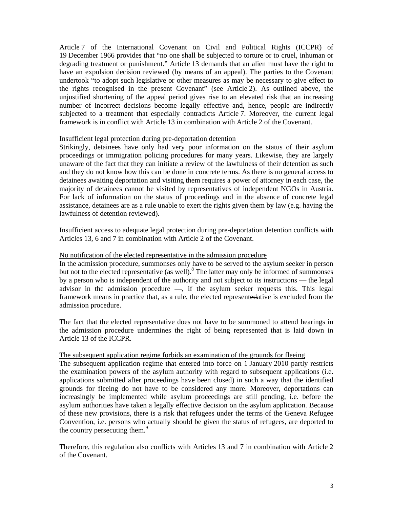Article 7 of the International Covenant on Civil and Political Rights (ICCPR) of 19 December 1966 provides that "no one shall be subjected to torture or to cruel, inhuman or degrading treatment or punishment." Article 13 demands that an alien must have the right to have an expulsion decision reviewed (by means of an appeal). The parties to the Covenant undertook "to adopt such legislative or other measures as may be necessary to give effect to the rights recognised in the present Covenant" (see Article 2). As outlined above, the unjustified shortening of the appeal period gives rise to an elevated risk that an increasing number of incorrect decisions become legally effective and, hence, people are indirectly subjected to a treatment that especially contradicts Article 7. Moreover, the current legal framework is in conflict with Article 13 in combination with Article 2 of the Covenant.

#### Insufficient legal protection during pre-deportation detention

Strikingly, detainees have only had very poor information on the status of their asylum proceedings or immigration policing procedures for many years. Likewise, they are largely unaware of the fact that they can initiate a review of the lawfulness of their detention as such and they do not know how this can be done in concrete terms. As there is no general access to detainees awaiting deportation and visiting them requires a power of attorney in each case, the majority of detainees cannot be visited by representatives of independent NGOs in Austria. For lack of information on the status of proceedings and in the absence of concrete legal assistance, detainees are as a rule unable to exert the rights given them by law (e.g. having the lawfulness of detention reviewed).

Insufficient access to adequate legal protection during pre-deportation detention conflicts with Articles 13, 6 and 7 in combination with Article 2 of the Covenant.

#### No notification of the elected representative in the admission procedure

In the admission procedure, summonses only have to be served to the asylum seeker in person but not to the elected representative (as well). <sup>8</sup> The latter may only be informed of summonses by a person who is independent of the authority and not subject to its instructions — the legal advisor in the admission procedure —, if the asylum seeker requests this. This legal framework means in practice that, as a rule, the elected representedative is excluded from the admission procedure.

The fact that the elected representative does not have to be summoned to attend hearings in the admission procedure undermines the right of being represented that is laid down in Article 13 of the ICCPR.

#### The subsequent application regime forbids an examination of the grounds for fleeing

The subsequent application regime that entered into force on 1 January 2010 partly restricts the examination powers of the asylum authority with regard to subsequent applications (i.e. applications submitted after proceedings have been closed) in such a way that the identified grounds for fleeing do not have to be considered any more. Moreover, deportations can increasingly be implemented while asylum proceedings are still pending, i.e. before the asylum authorities have taken a legally effective decision on the asylum application. Because of these new provisions, there is a risk that refugees under the terms of the Geneva Refugee Convention, i.e. persons who actually should be given the status of refugees, are deported to the country persecuting them.<sup>9</sup>

Therefore, this regulation also conflicts with Articles 13 and 7 in combination with Article 2 of the Covenant.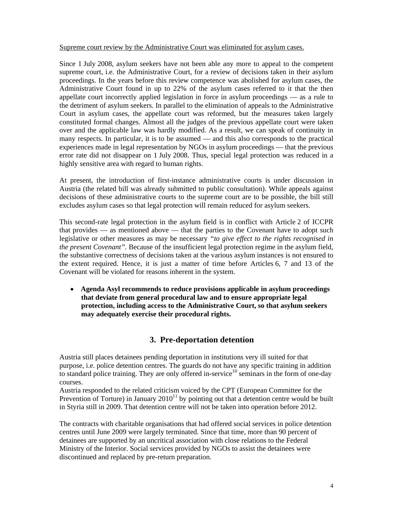Supreme court review by the Administrative Court was eliminated for asylum cases.

Since 1 July 2008, asylum seekers have not been able any more to appeal to the competent supreme court, i.e. the Administrative Court, for a review of decisions taken in their asylum proceedings. In the years before this review competence was abolished for asylum cases, the Administrative Court found in up to 22% of the asylum cases referred to it that the then appellate court incorrectly applied legislation in force in asylum proceedings — as a rule to the detriment of asylum seekers. In parallel to the elimination of appeals to the Administrative Court in asylum cases, the appellate court was reformed, but the measures taken largely constituted formal changes. Almost all the judges of the previous appellate court were taken over and the applicable law was hardly modified. As a result, we can speak of continuity in many respects. In particular, it is to be assumed — and this also corresponds to the practical experiences made in legal representation by NGOs in asylum proceedings — that the previous error rate did not disappear on 1 July 2008. Thus, special legal protection was reduced in a highly sensitive area with regard to human rights.

At present, the introduction of first-instance administrative courts is under discussion in Austria (the related bill was already submitted to public consultation). While appeals against decisions of these administrative courts to the supreme court are to be possible, the bill still excludes asylum cases so that legal protection will remain reduced for asylum seekers.

This second-rate legal protection in the asylum field is in conflict with Article 2 of ICCPR that provides — as mentioned above — that the parties to the Covenant have to adopt such legislative or other measures as may be necessary *"to give effect to the rights recognised in the present Covenant".* Because of the insufficient legal protection regime in the asylum field, the substantive correctness of decisions taken at the various asylum instances is not ensured to the extent required. Hence, it is just a matter of time before Articles 6, 7 and 13 of the Covenant will be violated for reasons inherent in the system.

• **Agenda Asyl recommends to reduce provisions applicable in asylum proceedings that deviate from general procedural law and to ensure appropriate legal protection, including access to the Administrative Court, so that asylum seekers may adequately exercise their procedural rights.** 

## **3. Pre-deportation detention**

Austria still places detainees pending deportation in institutions very ill suited for that purpose, i.e. police detention centres. The guards do not have any specific training in addition to standard police training. They are only offered in-service<sup>10</sup> seminars in the form of one-day courses.

Austria responded to the related criticism voiced by the CPT (European Committee for the Prevention of Torture) in January  $2010^{11}$  by pointing out that a detention centre would be built in Styria still in 2009. That detention centre will not be taken into operation before 2012.

The contracts with charitable organisations that had offered social services in police detention centres until June 2009 were largely terminated. Since that time, more than 90 percent of detainees are supported by an uncritical association with close relations to the Federal Ministry of the Interior. Social services provided by NGOs to assist the detainees were discontinued and replaced by pre-return preparation.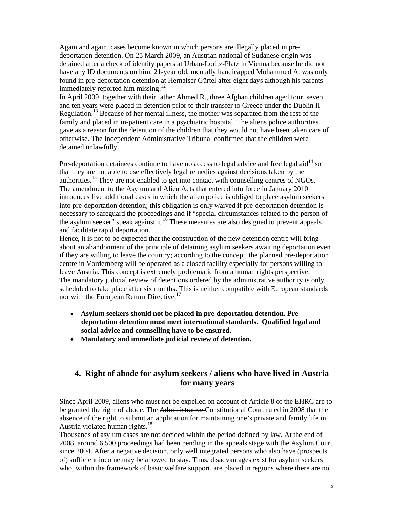Again and again, cases become known in which persons are illegally placed in predeportation detention. On 25 March 2009, an Austrian national of Sudanese origin was detained after a check of identity papers at Urban-Loritz-Platz in Vienna because he did not have any ID documents on him. 21-year old, mentally handicapped Mohammed A. was only found in pre-deportation detention at Hernalser Gürtel after eight days although his parents immediately reported him missing.<sup>12</sup>

In April 2009, together with their father Ahmed R., three Afghan children aged four, seven and ten years were placed in detention prior to their transfer to Greece under the Dublin II Regulation.13 Because of her mental illness, the mother was separated from the rest of the family and placed in in-patient care in a psychiatric hospital. The aliens police authorities gave as a reason for the detention of the children that they would not have been taken care of otherwise. The Independent Administrative Tribunal confirmed that the children were detained unlawfully.

Pre-deportation detainees continue to have no access to legal advice and free legal aid<sup>14</sup> so that they are not able to use effectively legal remedies against decisions taken by the authorities.15 They are not enabled to get into contact with counselling centres of NGOs. The amendment to the Asylum and Alien Acts that entered into force in January 2010 introduces five additional cases in which the alien police is obliged to place asylum seekers into pre-deportation detention; this obligation is only waived if pre-deportation detention is necessary to safeguard the proceedings and if "special circumstances related to the person of the asylum seeker" speak against it. $16$  These measures are also designed to prevent appeals and facilitate rapid deportation.

Hence, it is not to be expected that the construction of the new detention centre will bring about an abandonment of the principle of detaining asylum seekers awaiting deportation even if they are willing to leave the country; according to the concept, the planned pre-deportation centre in Vordernberg will be operated as a closed facility especially for persons willing to leave Austria. This concept is extremely problematic from a human rights perspective. The mandatory judicial review of detentions ordered by the administrative authority is only scheduled to take place after six months. This is neither compatible with European standards nor with the European Return Directive.<sup>17</sup>

- **Asylum seekers should not be placed in pre-deportation detention. Predeportation detention must meet international standards. Qualified legal and social advice and counselling have to be ensured.**
- **Mandatory and immediate judicial review of detention.**

## **4. Right of abode for asylum seekers / aliens who have lived in Austria for many years**

Since April 2009, aliens who must not be expelled on account of Article 8 of the EHRC are to be granted the right of abode. The Administrative Constitutional Court ruled in 2008 that the absence of the right to submit an application for maintaining one's private and family life in Austria violated human rights.<sup>18</sup>

Thousands of asylum cases are not decided within the period defined by law. At the end of 2008, around 6,500 proceedings had been pending in the appeals stage with the Asylum Court since 2004. After a negative decision, only well integrated persons who also have (prospects of) sufficient income may be allowed to stay. Thus, disadvantages exist for asylum seekers who, within the framework of basic welfare support, are placed in regions where there are no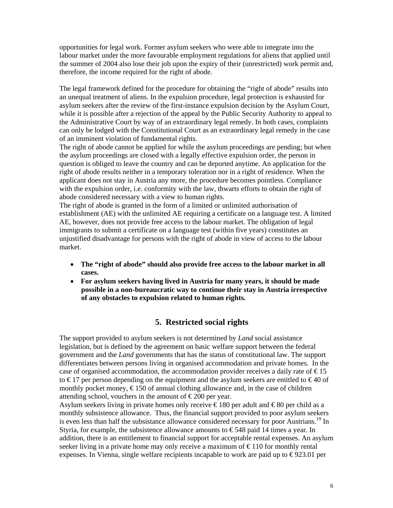opportunities for legal work. Former asylum seekers who were able to integrate into the labour market under the more favourable employment regulations for aliens that applied until the summer of 2004 also lose their job upon the expiry of their (unrestricted) work permit and, therefore, the income required for the right of abode.

The legal framework defined for the procedure for obtaining the "right of abode" results into an unequal treatment of aliens. In the expulsion procedure, legal protection is exhausted for asylum seekers after the review of the first-instance expulsion decision by the Asylum Court, while it is possible after a rejection of the appeal by the Public Security Authority to appeal to the Administrative Court by way of an extraordinary legal remedy. In both cases, complaints can only be lodged with the Constitutional Court as an extraordinary legal remedy in the case of an imminent violation of fundamental rights.

The right of abode cannot be applied for while the asylum proceedings are pending; but when the asylum proceedings are closed with a legally effective expulsion order, the person in question is obliged to leave the country and can be deported anytime. An application for the right of abode results neither in a temporary toleration nor in a right of residence. When the applicant does not stay in Austria any more, the procedure becomes pointless. Compliance with the expulsion order, i.e. conformity with the law, thwarts efforts to obtain the right of abode considered necessary with a view to human rights.

The right of abode is granted in the form of a limited or unlimited authorisation of establishment (AE) with the unlimited AE requiring a certificate on a language test. A limited AE, however, does not provide free access to the labour market. The obligation of legal immigrants to submit a certificate on a language test (within five years) constitutes an unjustified disadvantage for persons with the right of abode in view of access to the labour market.

- **The "right of abode" should also provide free access to the labour market in all cases.**
- **For asylum seekers having lived in Austria for many years, it should be made possible in a non-bureaucratic way to continue their stay in Austria irrespective of any obstacles to expulsion related to human rights.**

## **5. Restricted social rights**

The support provided to asylum seekers is not determined by *Land* social assistance legislation, but is defined by the agreement on basic welfare support between the federal government and the *Land* governments that has the status of constitutional law. The support differentiates between persons living in organised accommodation and private homes. In the case of organised accommodation, the accommodation provider receives a daily rate of  $\epsilon$ 15 to  $\epsilon$ 17 per person depending on the equipment and the asylum seekers are entitled to  $\epsilon$ 40 of monthly pocket money,  $\epsilon$ 150 of annual clothing allowance and, in the case of children attending school, vouchers in the amount of  $\epsilon$ 200 per year.

Asylum seekers living in private homes only receive  $\epsilon$  180 per adult and  $\epsilon$  80 per child as a monthly subsistence allowance. Thus, the financial support provided to poor asylum seekers is even less than half the subsistance allowance considered necessary for poor Austrians.<sup>19</sup> In Styria, for example, the subsistence allowance amounts to  $\epsilon$ 548 paid 14 times a year. In addition, there is an entitlement to financial support for acceptable rental expenses. An asylum seeker living in a private home may only receive a maximum of  $\epsilon$  110 for monthly rental expenses. In Vienna, single welfare recipients incapable to work are paid up to  $\epsilon$ 923.01 per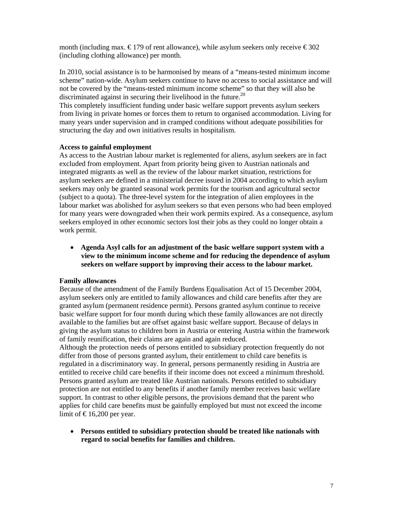month (including max.  $\epsilon$ 179 of rent allowance), while asylum seekers only receive  $\epsilon$ 302 (including clothing allowance) per month.

In 2010, social assistance is to be harmonised by means of a "means-tested minimum income scheme" nation-wide. Asylum seekers continue to have no access to social assistance and will not be covered by the "means-tested minimum income scheme" so that they will also be discriminated against in securing their livelihood in the future.<sup>20</sup>

This completely insufficient funding under basic welfare support prevents asylum seekers from living in private homes or forces them to return to organised accommodation. Living for many years under supervision and in cramped conditions without adequate possibilities for structuring the day and own initiatives results in hospitalism.

#### **Access to gainful employment**

As access to the Austrian labour market is reglemented for aliens, asylum seekers are in fact excluded from employment. Apart from priority being given to Austrian nationals and integrated migrants as well as the review of the labour market situation, restrictions for asylum seekers are defined in a ministerial decree issued in 2004 according to which asylum seekers may only be granted seasonal work permits for the tourism and agricultural sector (subject to a quota). The three-level system for the integration of alien employees in the labour market was abolished for asylum seekers so that even persons who had been employed for many years were downgraded when their work permits expired. As a consequence, asylum seekers employed in other economic sectors lost their jobs as they could no longer obtain a work permit.

• **Agenda Asyl calls for an adjustment of the basic welfare support system with a view to the minimum income scheme and for reducing the dependence of asylum seekers on welfare support by improving their access to the labour market.** 

#### **Family allowances**

Because of the amendment of the Family Burdens Equalisation Act of 15 December 2004, asylum seekers only are entitled to family allowances and child care benefits after they are granted asylum (permanent residence permit). Persons granted asylum continue to receive basic welfare support for four month during which these family allowances are not directly available to the families but are offset against basic welfare support. Because of delays in giving the asylum status to children born in Austria or entering Austria within the framework of family reunification, their claims are again and again reduced.

Although the protection needs of persons entitled to subsidiary protection frequently do not differ from those of persons granted asylum, their entitlement to child care benefits is regulated in a discriminatory way. In general, persons permanently residing in Austria are entitled to receive child care benefits if their income does not exceed a minimum threshold. Persons granted asylum are treated like Austrian nationals. Persons entitled to subsidiary protection are not entitled to any benefits if another family member receives basic welfare support. In contrast to other eligible persons, the provisions demand that the parent who applies for child care benefits must be gainfully employed but must not exceed the income limit of  $\text{\textsterling}16,200$  per year.

• **Persons entitled to subsidiary protection should be treated like nationals with regard to social benefits for families and children.**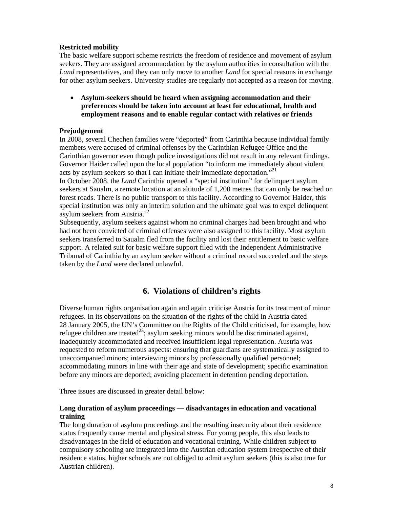#### **Restricted mobility**

The basic welfare support scheme restricts the freedom of residence and movement of asylum seekers. They are assigned accommodation by the asylum authorities in consultation with the *Land* representatives, and they can only move to another *Land* for special reasons in exchange for other asylum seekers. University studies are regularly not accepted as a reason for moving.

• **Asylum-seekers should be heard when assigning accommodation and their preferences should be taken into account at least for educational, health and employment reasons and to enable regular contact with relatives or friends** 

#### **Prejudgement**

In 2008, several Chechen families were "deported" from Carinthia because individual family members were accused of criminal offenses by the Carinthian Refugee Office and the Carinthian governor even though police investigations did not result in any relevant findings. Governor Haider called upon the local population "to inform me immediately about violent acts by asylum seekers so that I can initiate their immediate deportation."<sup>21</sup>

In October 2008, the *Land* Carinthia opened a "special institution" for delinquent asylum seekers at Saualm, a remote location at an altitude of 1,200 metres that can only be reached on forest roads. There is no public transport to this facility. According to Governor Haider, this special institution was only an interim solution and the ultimate goal was to expel delinquent asylum seekers from Austria.<sup>22</sup>

Subsequently, asylum seekers against whom no criminal charges had been brought and who had not been convicted of criminal offenses were also assigned to this facility. Most asylum seekers transferred to Saualm fled from the facility and lost their entitlement to basic welfare support. A related suit for basic welfare support filed with the Independent Administrative Tribunal of Carinthia by an asylum seeker without a criminal record succeeded and the steps taken by the *Land* were declared unlawful.

## **6. Violations of children's rights**

Diverse human rights organisation again and again criticise Austria for its treatment of minor refugees. In its observations on the situation of the rights of the child in Austria dated 28 January 2005, the UN's Committee on the Rights of the Child criticised, for example, how refugee children are treated<sup>23</sup>; asylum seeking minors would be discriminated against, inadequately accommodated and received insufficient legal representation. Austria was requested to reform numerous aspects: ensuring that guardians are systematically assigned to unaccompanied minors; interviewing minors by professionally qualified personnel; accommodating minors in line with their age and state of development; specific examination before any minors are deported; avoiding placement in detention pending deportation.

Three issues are discussed in greater detail below:

#### **Long duration of asylum proceedings — disadvantages in education and vocational training**

The long duration of asylum proceedings and the resulting insecurity about their residence status frequently cause mental and physical stress. For young people, this also leads to disadvantages in the field of education and vocational training. While children subject to compulsory schooling are integrated into the Austrian education system irrespective of their residence status, higher schools are not obliged to admit asylum seekers (this is also true for Austrian children).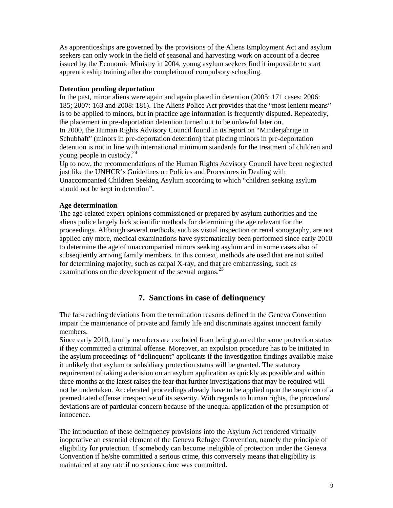As apprenticeships are governed by the provisions of the Aliens Employment Act and asylum seekers can only work in the field of seasonal and harvesting work on account of a decree issued by the Economic Ministry in 2004, young asylum seekers find it impossible to start apprenticeship training after the completion of compulsory schooling.

#### **Detention pending deportation**

In the past, minor aliens were again and again placed in detention (2005: 171 cases; 2006: 185; 2007: 163 and 2008: 181). The Aliens Police Act provides that the "most lenient means" is to be applied to minors, but in practice age information is frequently disputed. Repeatedly, the placement in pre-deportation detention turned out to be unlawful later on. In 2000, the Human Rights Advisory Council found in its report on "Minderjährige in Schubhaft" (minors in pre-deportation detention) that placing minors in pre-deportation detention is not in line with international minimum standards for the treatment of children and young people in custody.24

Up to now, the recommendations of the Human Rights Advisory Council have been neglected just like the UNHCR's Guidelines on Policies and Procedures in Dealing with Unaccompanied Children Seeking Asylum according to which "children seeking asylum should not be kept in detention".

#### **Age determination**

The age-related expert opinions commissioned or prepared by asylum authorities and the aliens police largely lack scientific methods for determining the age relevant for the proceedings. Although several methods, such as visual inspection or renal sonography, are not applied any more, medical examinations have systematically been performed since early 2010 to determine the age of unaccompanied minors seeking asylum and in some cases also of subsequently arriving family members. In this context, methods are used that are not suited for determining majority, such as carpal X-ray, and that are embarrassing, such as examinations on the development of the sexual organs.<sup>25</sup>

## **7. Sanctions in case of delinquency**

The far-reaching deviations from the termination reasons defined in the Geneva Convention impair the maintenance of private and family life and discriminate against innocent family members.

Since early 2010, family members are excluded from being granted the same protection status if they committed a criminal offense. Moreover, an expulsion procedure has to be initiated in the asylum proceedings of "delinquent" applicants if the investigation findings available make it unlikely that asylum or subsidiary protection status will be granted. The statutory requirement of taking a decision on an asylum application as quickly as possible and within three months at the latest raises the fear that further investigations that may be required will not be undertaken. Accelerated proceedings already have to be applied upon the suspicion of a premeditated offense irrespective of its severity. With regards to human rights, the procedural deviations are of particular concern because of the unequal application of the presumption of innocence.

The introduction of these delinquency provisions into the Asylum Act rendered virtually inoperative an essential element of the Geneva Refugee Convention, namely the principle of eligibility for protection. If somebody can become ineligible of protection under the Geneva Convention if he/she committed a serious crime, this conversely means that eligibility is maintained at any rate if no serious crime was committed.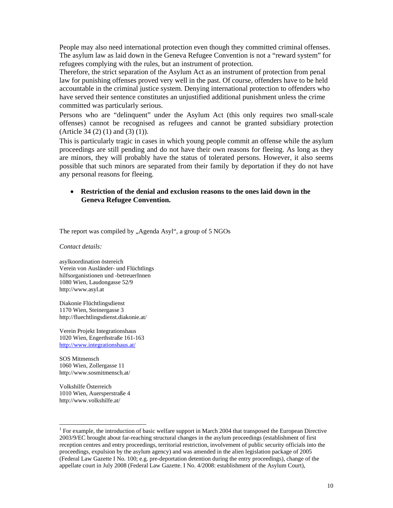People may also need international protection even though they committed criminal offenses. The asylum law as laid down in the Geneva Refugee Convention is not a "reward system" for refugees complying with the rules, but an instrument of protection.

Therefore, the strict separation of the Asylum Act as an instrument of protection from penal law for punishing offenses proved very well in the past. Of course, offenders have to be held accountable in the criminal justice system. Denying international protection to offenders who have served their sentence constitutes an unjustified additional punishment unless the crime committed was particularly serious.

Persons who are "delinquent" under the Asylum Act (this only requires two small-scale offenses) cannot be recognised as refugees and cannot be granted subsidiary protection (Article 34 (2) (1) and (3) (1)).

This is particularly tragic in cases in which young people commit an offense while the asylum proceedings are still pending and do not have their own reasons for fleeing. As long as they are minors, they will probably have the status of tolerated persons. However, it also seems possible that such minors are separated from their family by deportation if they do not have any personal reasons for fleeing.

#### • **Restriction of the denial and exclusion reasons to the ones laid down in the Geneva Refugee Convention.**

The report was compiled by "Agenda Asyl", a group of 5 NGOs

*Contact details:* 

asylkoordination östereich Verein von Ausländer- und Flüchtlings hilfsorganistionen und -betreuerInnen 1080 Wien, Laudongasse 52/9 http://www.asyl.at

Diakonie Flüchtlingsdienst 1170 Wien, Steinergasse 3 http://fluechtlingsdienst.diakonie.at/

Verein Projekt Integrationshaus 1020 Wien, Engerthstraße 161-163 http://www.integrationshaus.at/

SOS Mitmensch 1060 Wien, Zollergasse 11 http://www.sosmitmensch.at/

Volkshilfe Österreich 1010 Wien, Auersperstraße 4 http://www.volkshilfe.at/

<sup>&</sup>lt;sup>1</sup> For example, the introduction of basic welfare support in March 2004 that transposed the European Directive 2003/9/EC brought about far-reaching structural changes in the asylum proceedings (establishment of first reception centres and entry proceedings, territorial restriction, involvement of public security officials into the proceedings, expulsion by the asylum agency) and was amended in the alien legislation package of 2005 (Federal Law Gazette I No. 100; e.g. pre-deportation detention during the entry proceedings), change of the appellate court in July 2008 (Federal Law Gazette. I No. 4/2008: establishment of the Asylum Court),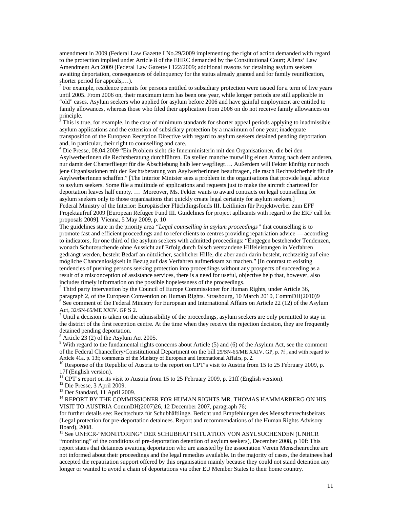amendment in 2009 (Federal Law Gazette I No.29/2009 implementing the right of action demanded with regard to the protection implied under Article 8 of the EHRC demanded by the Constitutional Court; Aliens' Law Amendment Act 2009 (Federal Law Gazette I 122/2009; additional reasons for detaining asylum seekers awaiting deportation, consequences of delinquency for the status already granted and for family reunification, shorter period for appeals,…).

 $2^2$  For example, residence permits for persons entitled to subsidiary protection were issued for a term of five years until 2005. From 2006 on, their maximum term has been one year, while longer periods are still applicable in "old" cases. Asylum seekers who applied for asylum before 2006 and have gainful employment are entitled to family allowances, whereas those who filed their application from 2006 on do not receive family allowances on principle.<br><sup>3</sup> This is t

 This is true, for example, in the case of minimum standards for shorter appeal periods applying to inadmissible asylum applications and the extension of subsidiary protection by a maximum of one year; inadequate transposition of the European Reception Directive with regard to asylum seekers detained pending deportation and, in particular, their right to counselling and care.

<sup>4</sup> Die Presse, 08.04.2009 "Ein Problem sieht die Innenministerin mit den Organisationen, die bei den AsylwerberInnen die Rechtsberatung durchführen. Da stellen manche mutwillig einen Antrag nach dem anderen, nur damit der Charterflieger für die Abschiebung halb leer wegfliegt…. Außerdem will Fekter künftig nur noch jene Organisationen mit der Rechtsberatung von AsylwerberInnen beauftragen, die rasch Rechtssicherheit für die AsylwerberInnen schaffen." [The Interior Minister sees a problem in the organisations that provide legal advice to asylum seekers. Some file a multitude of applications and requests just to make the aircraft chartered for deportation leaves half empty. … Moreover, Ms. Fekter wants to award contracts on legal counselling for asylum seekers only to those organisations that quickly create legal certainty for asylum seekers.] Federal Ministry of the Interior: Europäischer Flüchtlingsfonds III. Leitlinien für Projektwerber zum EFF Projektaufruf 2009 [European Refugee Fund III. Guidelines for project apllicants with regard to the ERF call for proposals 2009]. Vienna, 5 May 2009, p. 10

The guidelines state in the priority area *"Legal counselling in asylum proceedings"* that counselling is to promote fast and efficient proceedings and to refer clients to centres providing repatriation advice — according to indicators, for one third of the asylum seekers with admitted proceedings: "Entgegen bestehender Tendenzen, wonach Schutzsuchende ohne Aussicht auf Erfolg durch falsch verstandene Hilfeleistungen in Verfahren gedrängt werden, besteht Bedarf an nützlicher, sachlicher Hilfe, die aber auch darin besteht, rechtzeitig auf eine mögliche Chancenlosigkeit in Bezug auf das Verfahren aufmerksam zu machen." [In contrast to existing tendencies of pushing persons seeking protection into proceedings without any prospects of succeeding as a result of a misconception of assistance services, there is a need for useful, objective help that, however, also includes timely information on the possible hopelessness of the proceedings.

<sup>5</sup> Third party intervention by the Council of Europe Commissioner for Human Rights, under Article 36, paragraph 2, of the European Convention on Human Rights. Strasbourg, 10 March 2010, CommDH(2010)9<br><sup>6</sup> See comment of the Federal Ministry for European and International Affairs on Article 22 (12) of the Asylum

Act, 32/SN-65/ME XXIV. GP S 2. 7

Until a decision is taken on the admissibility of the proceedings, asylum seekers are only permitted to stay in the district of the first reception centre. At the time when they receive the rejection decision, they are frequently detained pending deportation.

8 Article 23 (2) of the Asylum Act 2005.

 $9$  With regard to the fundamental rights concerns about Article (5) and (6) of the Asylum Act, see the comment of the Federal Chancellery/Constitutional Department on the bill 25/SN-65/ME XXIV. GP, p. 7f, and with regard to Article 41a, p. 13f; comments of the Ministry of European and International Affairs, p. 2.

 $10$  Response of the Republic of Austria to the report on CPT's visit to Austria from 15 to 25 February 2009, p. 17f (English version).

<sup>11</sup> CPT's report on its visit to Austria from 15 to 25 February 2009, p. 21ff (English version).

<sup>12</sup> Die Presse, 3 April 2009.

l

<sup>13</sup> Der Standard, 11 April 2009.

 $^{14}$  REPORT BY THE COMMISSIONER FOR HUMAN RIGHTS MR. THOMAS HAMMARBERG ON HIS VISIT TO AUSTRIA CommDH(2007)26, 12 December 2007, paragraph 76;

for further details see: Rechtschutz für Schubhäftlinge. Bericht und Empfehlungen des Menschenrechtsbeirats (Legal protection for pre-deportation detainees. Report and recommendations of the Human Rights Advisory Board), 2008.

<sup>15</sup> See UNHCR-"MONITORING" DER SCHUBHAFTSITUATION VON ASYLSUCHENDEN (UNHCR "monitoring" of the conditions of pre-deportation detention of asylum seekers), December 2008, p 10f: This report states that detainees awaiting deportation who are assisted by the association Verein Menschenrechte are not informed about their proceedings and the legal remedies available. In the majority of cases, the detainees had accepted the repatriation support offered by this organisation mainly because they could not stand detention any longer or wanted to avoid a chain of deportations via other EU Member States to their home country.